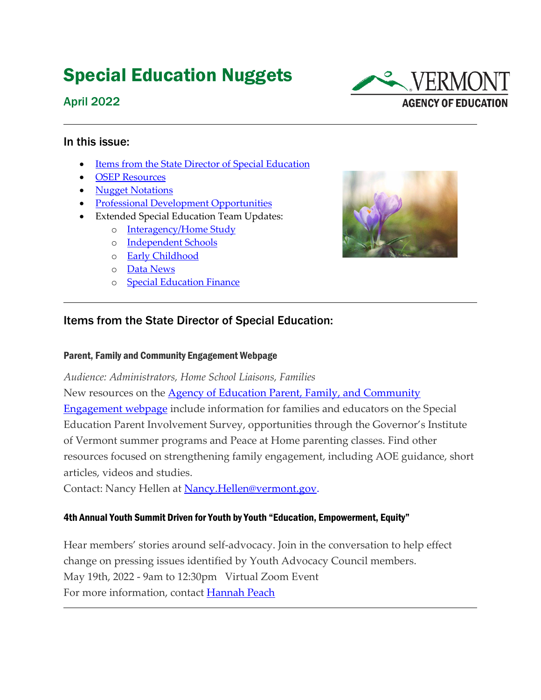# Special Education Nuggets

#### April 2022



#### In this issue:

- [Items from the State Director of Special Education](#page-0-0)
- [OSEP Resources](#page-1-0)
- [Nugget Notations](#page-2-0)
- Professional Development Opportunities
- Extended Special Education Team Updates:
	- o [Interagency/Home Study](#page-4-0)
	- o [Independent Schools](#page-4-1)
	- o [Early Childhood](#page-4-2)
	- o [Data News](#page-6-0)
	- o **[Special Education Finance](#page-6-0)**



#### <span id="page-0-0"></span>Items from the State Director of Special Education:

#### Parent, Family and Community Engagement Webpage

*Audience: Administrators, Home School Liaisons, Families*

New resources on the **Agency of Education Parent, Family, and Community** [Engagement webpage](https://education.vermont.gov/student-support/parent-family-and-community-engagement) include information for families and educators on the Special Education Parent Involvement Survey, opportunities through the Governor's Institute of Vermont summer programs and Peace at Home parenting classes. Find other resources focused on strengthening family engagement, including AOE guidance, short articles, videos and studies.

Contact: Nancy Hellen at [Nancy.Hellen@vermont.gov.](mailto:Nancy.Hellen@vermont.gov)

#### 4th Annual Youth Summit Driven for Youth by Youth "Education, Empowerment, Equity"

Hear members' stories around self-advocacy. Join in the conversation to help effect change on pressing issues identified by Youth Advocacy Council members. May 19th, 2022 - 9am to 12:30pm Virtual Zoom Event For more information, contact [Hannah Peach](mailto:hannah.peach@vermont.gov)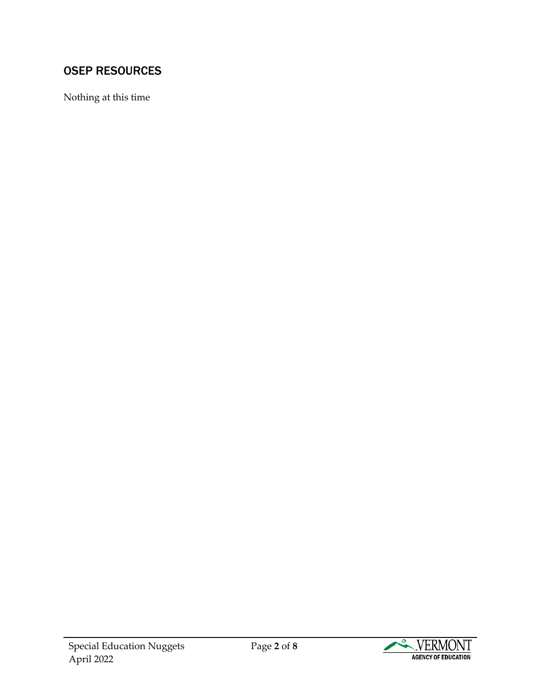## <span id="page-1-0"></span>OSEP RESOURCES

Nothing at this time

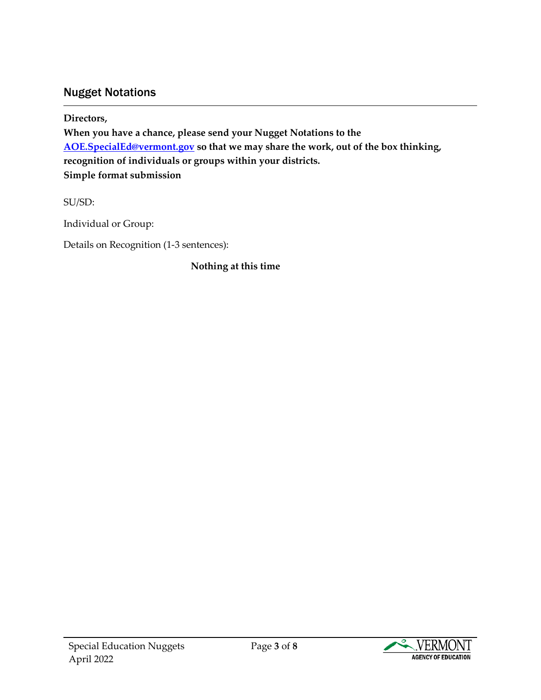#### Nugget Notations

<span id="page-2-0"></span>**Directors, When you have a chance, please send your Nugget Notations to the [AOE.SpecialEd@vermont.gov](mailto:AOE.SpecialEd@vermont.gov) so that we may share the work, out of the box thinking, recognition of individuals or groups within your districts. Simple format submission**

SU/SD:

Individual or Group:

Details on Recognition (1-3 sentences):

**Nothing at this time**

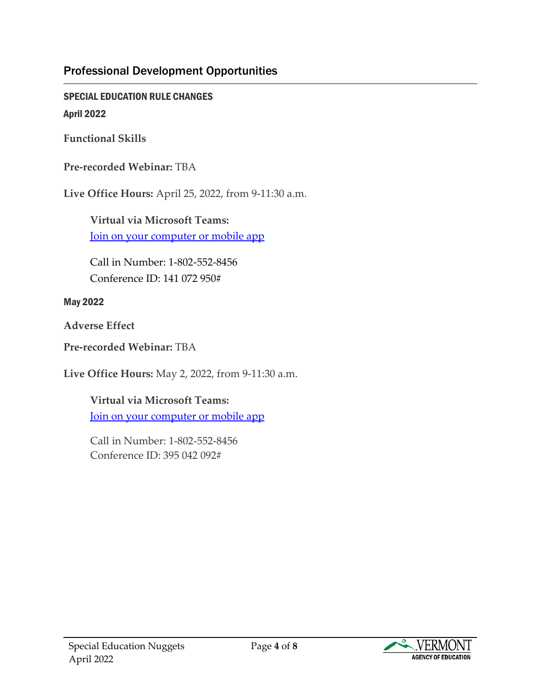#### Professional Development Opportunities

SPECIAL EDUCATION RULE CHANGES April 2022

**Functional Skills**

**Pre-recorded Webinar:** TBA

**Live Office Hours:** April 25, 2022, from 9-11:30 a.m.

**Virtual via Microsoft Teams:** [Join on your computer or mobile app](https://teams.microsoft.com/l/meetup-join/19%3ameeting_ZjU1NWMzMDAtM2VmZC00Y2NhLWIwYTMtZWZhZDYzY2RmZmZl%40thread.v2/0?context=%7b%22Tid%22%3a%2220b4933b-baad-433c-9c02-70edcc7559c6%22%2c%22Oid%22%3a%22d4ffb8ba-1e02-4068-b76e-0a69287a7b52%22%7d)

Call in Number: 1-802-552-8456 Conference ID: 141 072 950#

May 2022

**Adverse Effect** 

**Pre-recorded Webinar:** TBA

**Live Office Hours:** May 2, 2022, from 9-11:30 a.m.

**Virtual via Microsoft Teams:** [Join on your computer or mobile app](https://teams.microsoft.com/l/meetup-join/19%3ameeting_YWJkYTk1ZjktNTM1MC00ZjdlLWI5ZjEtYjkwYzE1OGIwNzk2%40thread.v2/0?context=%7b%22Tid%22%3a%2220b4933b-baad-433c-9c02-70edcc7559c6%22%2c%22Oid%22%3a%22d4ffb8ba-1e02-4068-b76e-0a69287a7b52%22%7d)

Call in Number: 1-802-552-8456 Conference ID: 395 042 092#

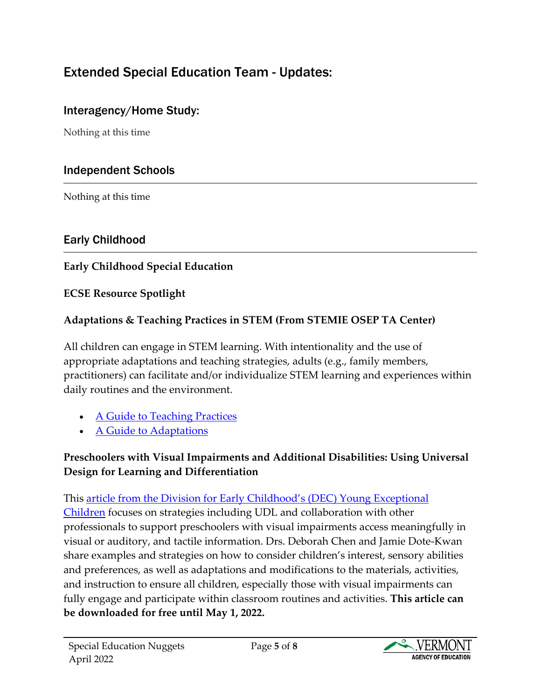## Extended Special Education Team - Updates:

## <span id="page-4-0"></span>Interagency/Home Study:

Nothing at this time

## Independent Schools

<span id="page-4-1"></span>Nothing at this time

## Early Childhood

#### <span id="page-4-2"></span>**Early Childhood Special Education**

#### **ECSE Resource Spotlight**

#### **Adaptations & Teaching Practices in STEM (From STEMIE OSEP TA Center)**

All children can engage in STEM learning. With intentionality and the use of appropriate adaptations and teaching strategies, adults (e.g., family members, practitioners) can facilitate and/or individualize STEM learning and experiences within daily routines and the environment.

- [A Guide to Teaching Practices](https://stemie.fpg.unc.edu/sites/stemie.fpg.unc.edu/files/A%20Guide%20to%20Teaching%20Practices%203-14-2022.pdf)
- [A Guide to Adaptations](https://stemie.fpg.unc.edu/sites/stemie.fpg.unc.edu/files/A%20Guide%20to%20Adaptations%20r-3-7-2022.pdf)

#### **Preschoolers with Visual Impairments and Additional Disabilities: Using Universal Design for Learning and Differentiation**

This [article from the Division for Early Childhood's \(DEC\)](https://divisionearlychildhood.egnyte.com/dl/LAEZY4Qk31) Young Exceptional [Children](https://divisionearlychildhood.egnyte.com/dl/LAEZY4Qk31) focuses on strategies including UDL and collaboration with other professionals to support preschoolers with visual impairments access meaningfully in visual or auditory, and tactile information. Drs. Deborah Chen and Jamie Dote-Kwan share examples and strategies on how to consider children's interest, sensory abilities and preferences, as well as adaptations and modifications to the materials, activities, and instruction to ensure all children, especially those with visual impairments can fully engage and participate within classroom routines and activities. **This article can be downloaded for free until May 1, 2022.**

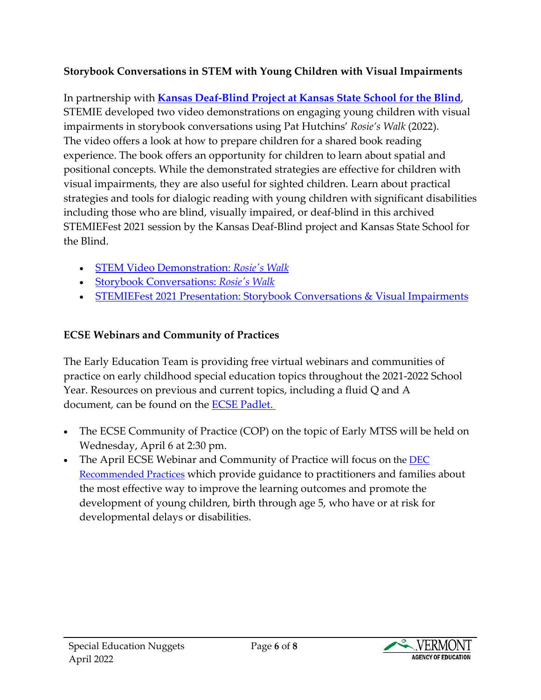#### **Storybook Conversations in STEM with Young Children with Visual Impairments**

In partnership with **[Kansas Deaf-Blind Project at Kansas State School for the Blind](https://click.icptrack.com/icp/relay.php?r=13439298&msgid=51760&act=CDB2&c=1810601&pid=107636&destination=https%3A%2F%2Fwww.kansasdeafblind.org%2F&cf=5928&v=06ce96b83c0d35e248f051817c124b81ce6447dfb70312d7693abd8d61fc1bcb)**, STEMIE developed two video demonstrations on engaging young children with visual impairments in storybook conversations using Pat Hutchins' *Rosie's Walk* (2022). The video offers a look at how to prepare children for a shared book reading experience. The book offers an opportunity for children to learn about spatial and positional concepts. While the demonstrated strategies are effective for children with visual impairments, they are also useful for sighted children. Learn about practical strategies and tools for dialogic reading with young children with significant disabilities including those who are blind, visually impaired, or deaf-blind in this archived STEMIEFest 2021 session by the Kansas Deaf-Blind project and Kansas State School for the Blind.

- [STEM Video Demonstration:](https://www.youtube.com/watch?v=vNl0YXcb8GQ) *Rosie's Walk*
- [Storybook Conversations:](https://stemie.fpg.unc.edu/storybook-conversations-rosies-walk) *Rosie's Walk*
- [STEMIEFest 2021 Presentation:](https://click.icptrack.com/icp/relay.php?r=13439298&msgid=51760&act=CDB2&c=1810601&pid=107636&destination=https%3A%2F%2Fevents.hubilo.com%2Fstemiefest-2021%2Fsession%2F96124&cf=5928&v=897963017ec4ca5339b87efbd12209c7f665838cd81820af16a70f0cd6797d11) Storybook Conversations & Visual Impairments

#### **ECSE Webinars and Community of Practices**

The Early Education Team is providing free virtual webinars and communities of practice on early childhood special education topics throughout the 2021-2022 School Year. Resources on previous and current topics, including a fluid Q and A document, can be found on the [ECSE Padlet.](https://padlet.com/katie_mccarthy1/y9x7nnrh6ws09to5)

- The ECSE Community of Practice (COP) on the topic of Early MTSS will be held on Wednesday, April 6 at 2:30 pm.
- The April ECSE Webinar and Community of Practice will focus on the **DEC** [Recommended Practices](https://divisionearlychildhood.egnyte.com/dl/7urLPWCt5U) which provide guidance to practitioners and families about the most effective way to improve the learning outcomes and promote the development of young children, birth through age 5, who have or at risk for developmental delays or disabilities.

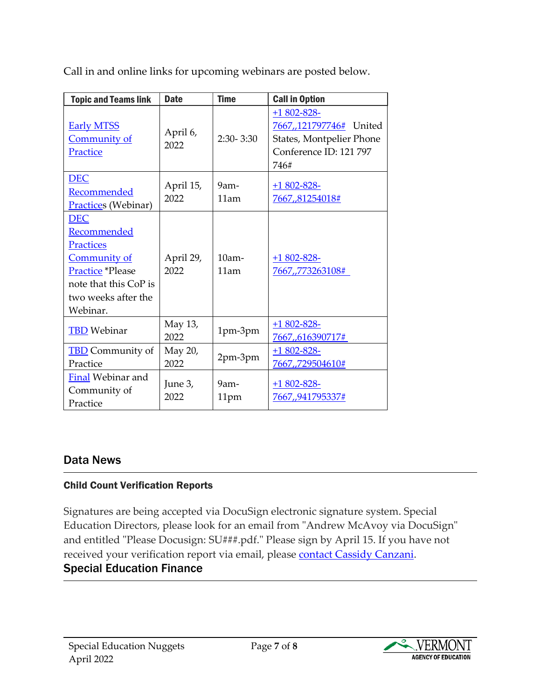|  |  | Call in and online links for upcoming webinars are posted below. |  |  |
|--|--|------------------------------------------------------------------|--|--|
|  |  |                                                                  |  |  |

| <b>Topic and Teams link</b>                                                                                                                          | <b>Date</b>       | <b>Time</b>      | <b>Call in Option</b>                                                                                    |
|------------------------------------------------------------------------------------------------------------------------------------------------------|-------------------|------------------|----------------------------------------------------------------------------------------------------------|
| <b>Early MTSS</b><br>Community of<br>Practice                                                                                                        | April 6,<br>2022  | $2:30 - 3:30$    | $+1802 - 828 -$<br>7667,,121797746# United<br>States, Montpelier Phone<br>Conference ID: 121 797<br>746# |
| <b>DEC</b><br>Recommended<br><b>Practices</b> (Webinar)                                                                                              | April 15,<br>2022 | $9am -$<br>11am  | $+1802 - 828 -$<br>7667,81254018#                                                                        |
| <b>DEC</b><br>Recommended<br><b>Practices</b><br><b>Community of</b><br>Practice *Please<br>note that this CoP is<br>two weeks after the<br>Webinar. | April 29,<br>2022 | $10am -$<br>11am | $+1802 - 828$<br>7667,,773263108#                                                                        |
| <b>TBD</b> Webinar                                                                                                                                   | May 13,<br>2022   | 1pm-3pm          | $+1802 - 828$<br><u>7667,,616390717#</u>                                                                 |
| <b>TBD</b> Community of<br>Practice                                                                                                                  | May 20,<br>2022   | 2pm-3pm          | $+1802 - 828 -$<br>7667,,729504610#                                                                      |
| Final Webinar and<br>Community of<br>Practice                                                                                                        | June 3,<br>2022   | $9am -$<br>11pm  | $+1802 - 828$<br>7667,,941795337#                                                                        |

#### Data News

#### <span id="page-6-0"></span>Child Count Verification Reports

Signatures are being accepted via DocuSign electronic signature system. Special Education Directors, please look for an email from "Andrew McAvoy via DocuSign" and entitled "Please Docusign: SU###.pdf." Please sign by April 15. If you have not received your verification report via email, please [contact Cassidy Canzani.](mailto:cassidy.canzani@vermont.gov) Special Education Finance